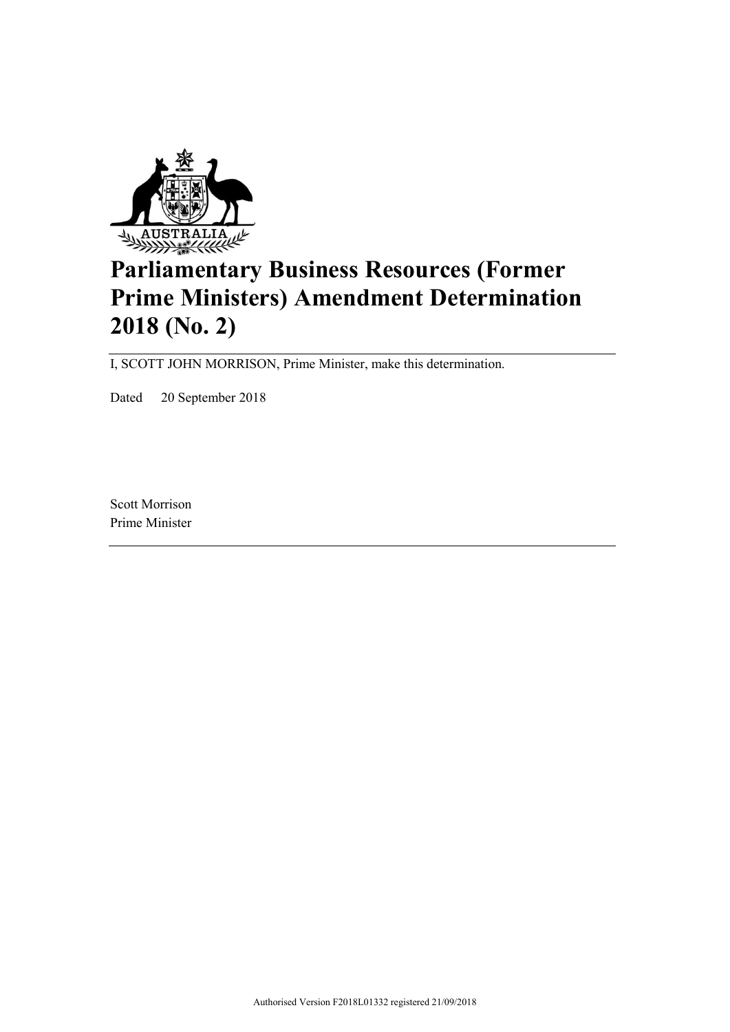

# **Parliamentary Business Resources (Former Prime Ministers) Amendment Determination 2018 (No. 2)**

I, SCOTT JOHN MORRISON, Prime Minister, make this determination.

Dated 20 September 2018

Scott Morrison Prime Minister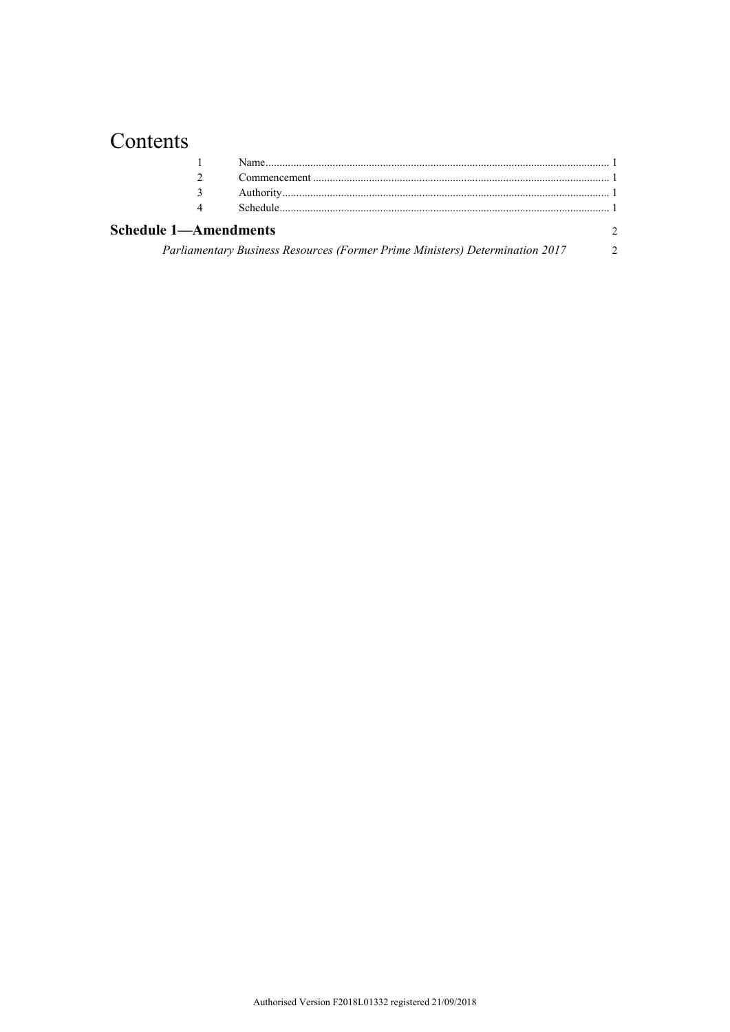## Contents

|                              | 4 |                                                                              |                |  |  |
|------------------------------|---|------------------------------------------------------------------------------|----------------|--|--|
| <b>Schedule 1-Amendments</b> |   |                                                                              |                |  |  |
|                              |   | Parliamentary Business Resources (Former Prime Ministers) Determination 2017 | $\overline{2}$ |  |  |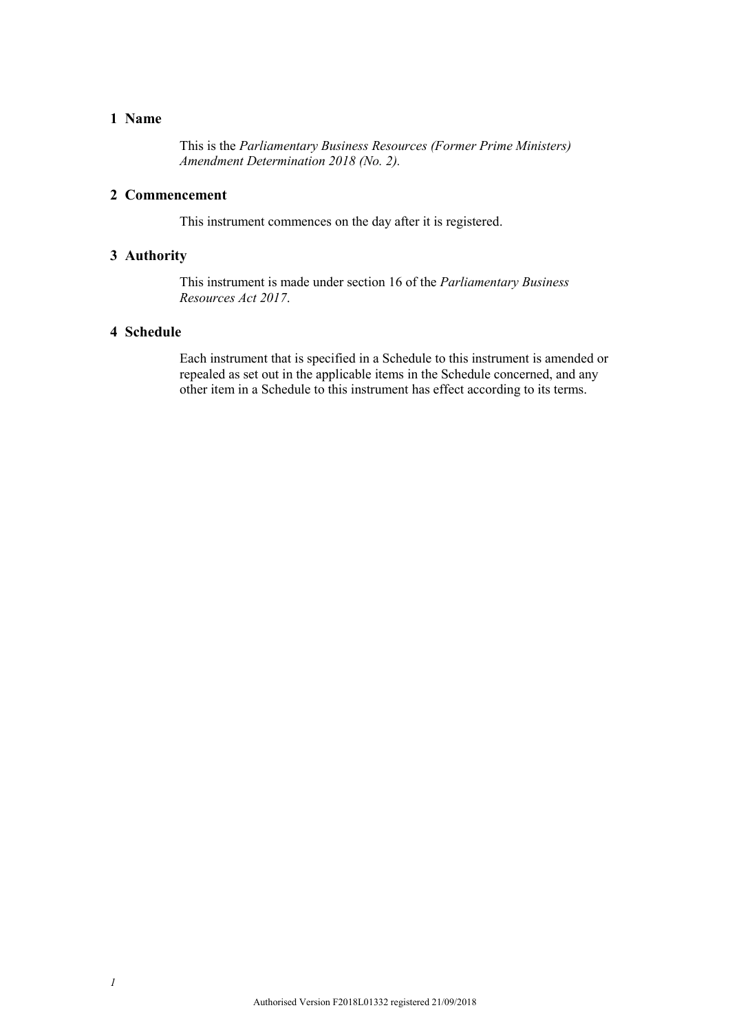### **1 Name**

This is the *Parliamentary Business Resources (Former Prime Ministers) Amendment Determination 2018 (No. 2).*

#### **2 Commencement**

This instrument commences on the day after it is registered.

#### **3 Authority**

This instrument is made under section 16 of the *Parliamentary Business Resources Act 2017*.

### **4 Schedule**

Each instrument that is specified in a Schedule to this instrument is amended or repealed as set out in the applicable items in the Schedule concerned, and any other item in a Schedule to this instrument has effect according to its terms.